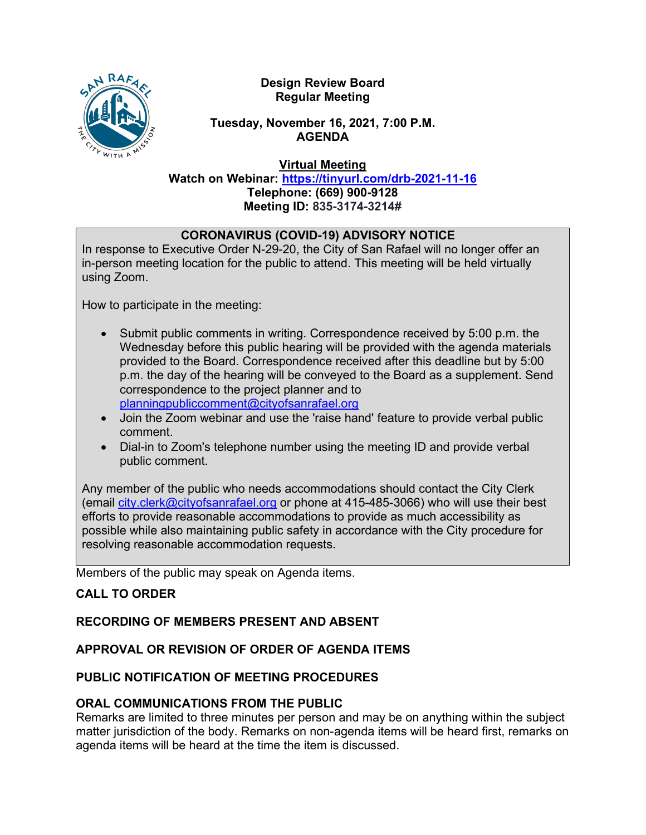#### **Design Review Board Regular Meeting**

### **Tuesday, November 16, 2021, 7:00 P.M. AGENDA**

**Virtual Meeting**

**Watch on Webinar: <https://tinyurl.com/drb-2021-11-16> Telephone: (669) 900-9128 Meeting ID: 835-3174-3214#**

## **CORONAVIRUS (COVID-19) ADVISORY NOTICE**

In response to Executive Order N-29-20, the City of San Rafael will no longer offer an in-person meeting location for the public to attend. This meeting will be held virtually using Zoom.

How to participate in the meeting:

- Submit public comments in writing. Correspondence received by 5:00 p.m. the Wednesday before this public hearing will be provided with the agenda materials provided to the Board. Correspondence received after this deadline but by 5:00 p.m. the day of the hearing will be conveyed to the Board as a supplement. Send correspondence to the project planner and to [planningpubliccomment@cityofsanrafael.org](mailto:planningpubliccomment@cityofsanrafael.org)
- Join the Zoom webinar and use the 'raise hand' feature to provide verbal public comment.
- Dial-in to Zoom's telephone number using the meeting ID and provide verbal public comment.

Any member of the public who needs accommodations should contact the City Clerk (email [city.clerk@cityofsanrafael.org](mailto:city.clerk@cityofsanrafael.org) or phone at 415-485-3066) who will use their best efforts to provide reasonable accommodations to provide as much accessibility as possible while also maintaining public safety in accordance with the City procedure for resolving reasonable accommodation requests.

Members of the public may speak on Agenda items.

## **CALL TO ORDER**

## **RECORDING OF MEMBERS PRESENT AND ABSENT**

# **APPROVAL OR REVISION OF ORDER OF AGENDA ITEMS**

## **PUBLIC NOTIFICATION OF MEETING PROCEDURES**

## **ORAL COMMUNICATIONS FROM THE PUBLIC**

Remarks are limited to three minutes per person and may be on anything within the subject matter jurisdiction of the body. Remarks on non-agenda items will be heard first, remarks on agenda items will be heard at the time the item is discussed.